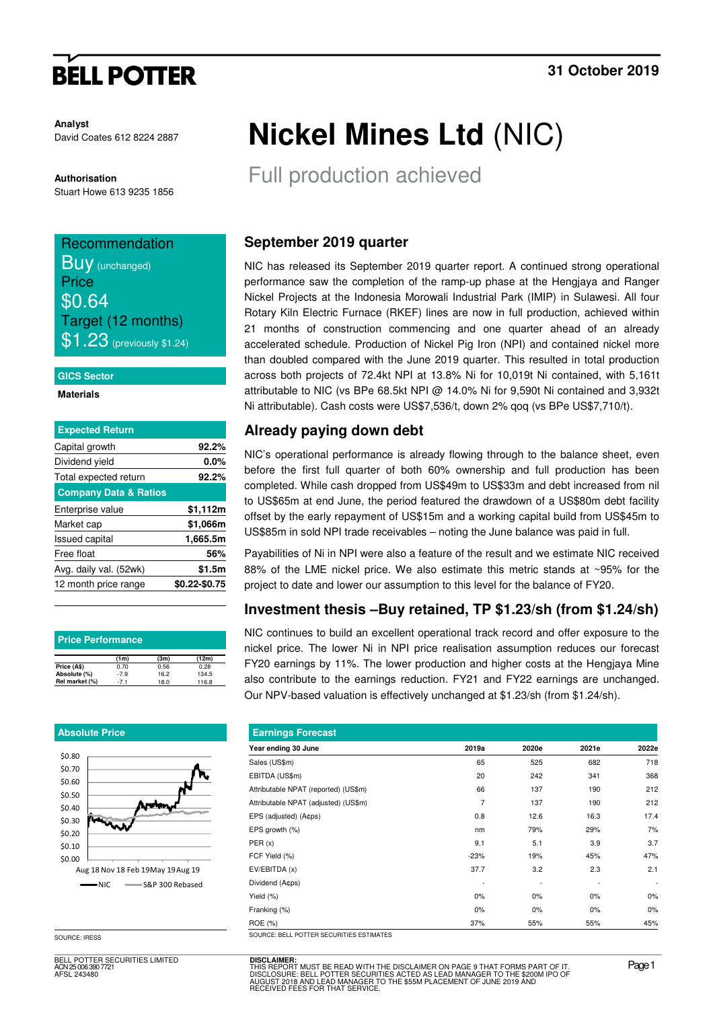# **BELL POTTER**

**Analyst** David Coates 612 8224 2887

**Authorisation** 

Stuart Howe 613 9235 1856

## Recommendation **BUV** (unchanged) **Price** \$0.64 Target (12 months)  $$1.23$  (previously \$1.24)

#### **GICS Sector**

**Materials** 

| <b>Expected Return</b>           |               |
|----------------------------------|---------------|
| Capital growth                   | 92.2%         |
| Dividend yield                   | 0.0%          |
| Total expected return            | 92.2%         |
| <b>Company Data &amp; Ratios</b> |               |
| Enterprise value                 | \$1,112m      |
| Market cap                       | \$1,066m      |
| <b>Issued capital</b>            | 1,665.5m      |
| Free float                       | 56%           |
| Avg. daily val. (52wk)           | \$1.5m        |
| 12 month price range             | \$0.22-\$0.75 |
|                                  |               |

| <b>Price Performance</b> |        |      |       |  |  |  |  |  |  |
|--------------------------|--------|------|-------|--|--|--|--|--|--|
|                          | (1m)   | (3m) | (12m) |  |  |  |  |  |  |
| Price (A\$)              | 0.70   | 0.56 | 0.28  |  |  |  |  |  |  |
| Absolute (%)             | $-7.9$ | 16.2 | 134.5 |  |  |  |  |  |  |
| Rel market (%)           | $-7.1$ | 18.0 | 116.8 |  |  |  |  |  |  |

#### **Absolute Price**



SOURCE: IRESS

BELL POTTER SECURITIES LIMITED ACN 25 006 390 7721 AFSL 243480

# **Nickel Mines Ltd** (NIC)

Full production achieved

### **September 2019 quarter**

NIC has released its September 2019 quarter report. A continued strong operational performance saw the completion of the ramp-up phase at the Hengjaya and Ranger Nickel Projects at the Indonesia Morowali Industrial Park (IMIP) in Sulawesi. All four Rotary Kiln Electric Furnace (RKEF) lines are now in full production, achieved within 21 months of construction commencing and one quarter ahead of an already accelerated schedule. Production of Nickel Pig Iron (NPI) and contained nickel more than doubled compared with the June 2019 quarter. This resulted in total production across both projects of 72.4kt NPI at 13.8% Ni for 10,019t Ni contained, with 5,161t attributable to NIC (vs BPe 68.5kt NPI @ 14.0% Ni for 9,590t Ni contained and 3,932t Ni attributable). Cash costs were US\$7,536/t, down 2% qoq (vs BPe US\$7,710/t).

## **Already paying down debt**

NIC's operational performance is already flowing through to the balance sheet, even before the first full quarter of both 60% ownership and full production has been completed. While cash dropped from US\$49m to US\$33m and debt increased from nil to US\$65m at end June, the period featured the drawdown of a US\$80m debt facility offset by the early repayment of US\$15m and a working capital build from US\$45m to US\$85m in sold NPI trade receivables – noting the June balance was paid in full.

Payabilities of Ni in NPI were also a feature of the result and we estimate NIC received 88% of the LME nickel price. We also estimate this metric stands at ~95% for the project to date and lower our assumption to this level for the balance of FY20.

## **Investment thesis –Buy retained, TP \$1.23/sh (from \$1.24/sh)**

NIC continues to build an excellent operational track record and offer exposure to the nickel price. The lower Ni in NPI price realisation assumption reduces our forecast FY20 earnings by 11%. The lower production and higher costs at the Hengjaya Mine also contribute to the earnings reduction. FY21 and FY22 earnings are unchanged. Our NPV-based valuation is effectively unchanged at \$1.23/sh (from \$1.24/sh).

| <b>Earnings Forecast</b>                |        |       |       |                          |
|-----------------------------------------|--------|-------|-------|--------------------------|
| Year ending 30 June                     | 2019a  | 2020e | 2021e | 2022e                    |
| Sales (US\$m)                           | 65     | 525   | 682   | 718                      |
| EBITDA (US\$m)                          | 20     | 242   | 341   | 368                      |
| Attributable NPAT (reported) (US\$m)    | 66     | 137   | 190   | 212                      |
| Attributable NPAT (adjusted) (US\$m)    | 7      | 137   | 190   | 212                      |
| EPS (adjusted) (A¢ps)                   | 0.8    | 12.6  | 16.3  | 17.4                     |
| EPS growth (%)                          | nm     | 79%   | 29%   | 7%                       |
| PER(x)                                  | 9.1    | 5.1   | 3.9   | 3.7                      |
| FCF Yield (%)                           | $-23%$ | 19%   | 45%   | 47%                      |
| EV/EBITDA (x)                           | 37.7   | 3.2   | 2.3   | 2.1                      |
| Dividend (A¢ps)                         |        |       |       | $\overline{\phantom{a}}$ |
| Yield (%)                               | 0%     | 0%    | $0\%$ | $0\%$                    |
| Franking (%)                            | $0\%$  | 0%    | $0\%$ | 0%                       |
| ROE (%)                                 | 37%    | 55%   | 55%   | 45%                      |
| SOURCE-RELL POTTER SECURITIES ESTIMATES |        |       |       |                          |

**DISCLAIMER:** THIS REPORT MUST BE READ WITH THE DISCLAIMER ON PAGE 9 THAT FORMS PART OF IT.<br>DISCLOSURE: BELL POTTER SECURITIES ACTED AS LEAD MANAGER TO THE \$200M IPO OF<br>AUGUST 2018 AND LEAD MANAGER TO THE \$55M PLACEMENT OF JUNE 2019 AND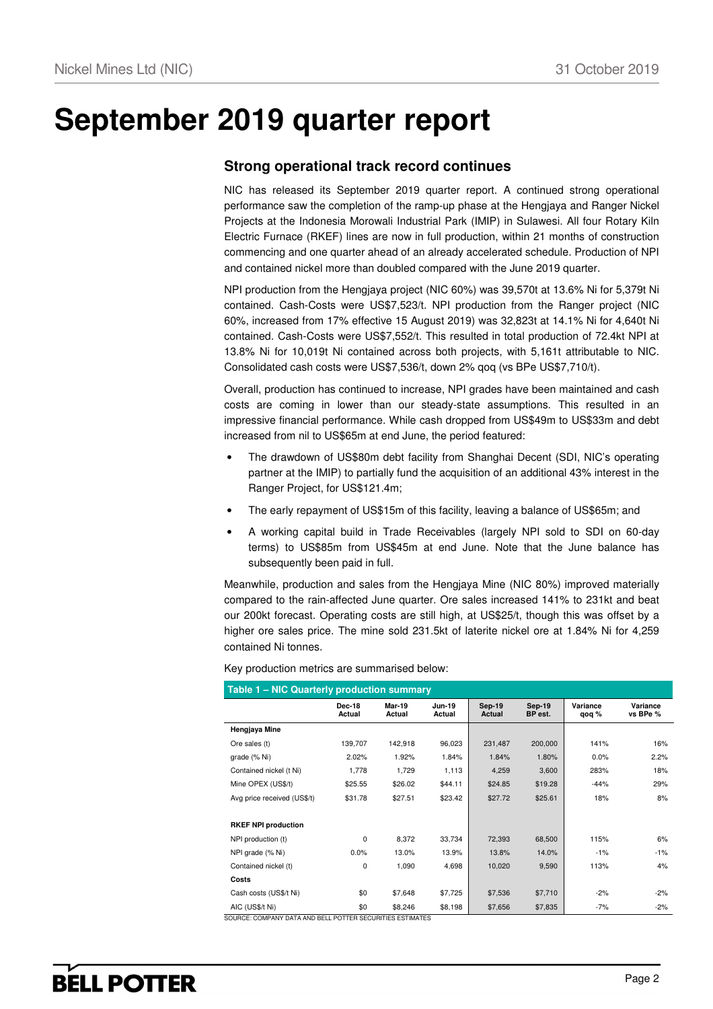# **September 2019 quarter report**

### **Strong operational track record continues**

NIC has released its September 2019 quarter report. A continued strong operational performance saw the completion of the ramp-up phase at the Hengjaya and Ranger Nickel Projects at the Indonesia Morowali Industrial Park (IMIP) in Sulawesi. All four Rotary Kiln Electric Furnace (RKEF) lines are now in full production, within 21 months of construction commencing and one quarter ahead of an already accelerated schedule. Production of NPI and contained nickel more than doubled compared with the June 2019 quarter.

NPI production from the Hengjaya project (NIC 60%) was 39,570t at 13.6% Ni for 5,379t Ni contained. Cash-Costs were US\$7,523/t. NPI production from the Ranger project (NIC 60%, increased from 17% effective 15 August 2019) was 32,823t at 14.1% Ni for 4,640t Ni contained. Cash-Costs were US\$7,552/t. This resulted in total production of 72.4kt NPI at 13.8% Ni for 10,019t Ni contained across both projects, with 5,161t attributable to NIC. Consolidated cash costs were US\$7,536/t, down 2% qoq (vs BPe US\$7,710/t).

Overall, production has continued to increase, NPI grades have been maintained and cash costs are coming in lower than our steady-state assumptions. This resulted in an impressive financial performance. While cash dropped from US\$49m to US\$33m and debt increased from nil to US\$65m at end June, the period featured:

- The drawdown of US\$80m debt facility from Shanghai Decent (SDI, NIC's operating partner at the IMIP) to partially fund the acquisition of an additional 43% interest in the Ranger Project, for US\$121.4m;
- The early repayment of US\$15m of this facility, leaving a balance of US\$65m; and
- A working capital build in Trade Receivables (largely NPI sold to SDI on 60-day terms) to US\$85m from US\$45m at end June. Note that the June balance has subsequently been paid in full.

Meanwhile, production and sales from the Hengjaya Mine (NIC 80%) improved materially compared to the rain-affected June quarter. Ore sales increased 141% to 231kt and beat our 200kt forecast. Operating costs are still high, at US\$25/t, though this was offset by a higher ore sales price. The mine sold 231.5kt of laterite nickel ore at 1.84% Ni for 4,259 contained Ni tonnes.

| <b>Table 1 - NIC Quarterly production summary</b>                            |                         |                         |                         |                         |                          |                   |                      |
|------------------------------------------------------------------------------|-------------------------|-------------------------|-------------------------|-------------------------|--------------------------|-------------------|----------------------|
|                                                                              | <b>Dec-18</b><br>Actual | <b>Mar-19</b><br>Actual | <b>Jun-19</b><br>Actual | <b>Sep-19</b><br>Actual | <b>Sep-19</b><br>BP est. | Variance<br>qoq % | Variance<br>vs BPe % |
| Hengjaya Mine                                                                |                         |                         |                         |                         |                          |                   |                      |
| Ore sales (t)                                                                | 139,707                 | 142,918                 | 96,023                  | 231,487                 | 200,000                  | 141%              | 16%                  |
| grade (% Ni)                                                                 | 2.02%                   | 1.92%                   | 1.84%                   | 1.84%                   | 1.80%                    | 0.0%              | 2.2%                 |
| Contained nickel (t Ni)                                                      | 1,778                   | 1,729                   | 1,113                   | 4,259                   | 3,600                    | 283%              | 18%                  |
| Mine OPEX (US\$/t)                                                           | \$25.55                 | \$26.02                 | \$44.11                 | \$24.85                 | \$19.28                  | $-44%$            | 29%                  |
| Avg price received (US\$/t)                                                  | \$31.78                 | \$27.51                 | \$23.42                 | \$27.72                 | \$25.61                  | 18%               | 8%                   |
|                                                                              |                         |                         |                         |                         |                          |                   |                      |
| <b>RKEF NPI production</b>                                                   |                         |                         |                         |                         |                          |                   |                      |
| NPI production (t)                                                           | $\mathbf 0$             | 8,372                   | 33,734                  | 72,393                  | 68,500                   | 115%              | 6%                   |
| NPI grade (% Ni)                                                             | 0.0%                    | 13.0%                   | 13.9%                   | 13.8%                   | 14.0%                    | $-1%$             | $-1%$                |
| Contained nickel (t)                                                         | $\mathbf 0$             | 1,090                   | 4,698                   | 10,020                  | 9,590                    | 113%              | 4%                   |
| Costs                                                                        |                         |                         |                         |                         |                          |                   |                      |
| Cash costs (US\$/t Ni)                                                       | \$0                     | \$7,648                 | \$7,725                 | \$7,536                 | \$7,710                  | $-2%$             | -2%                  |
| AIC (US\$/t Ni)<br>COUDCE, COMBANN DATA AND BELL BOTTER CECURITIES FSTIMATES | \$0                     | \$8,246                 | \$8,198                 | \$7,656                 | \$7,835                  | $-7%$             | $-2%$                |

Key production metrics are summarised below:

SOURCE: COMPANY DATA AND BELL POTTER SECURITIES ESTIMATES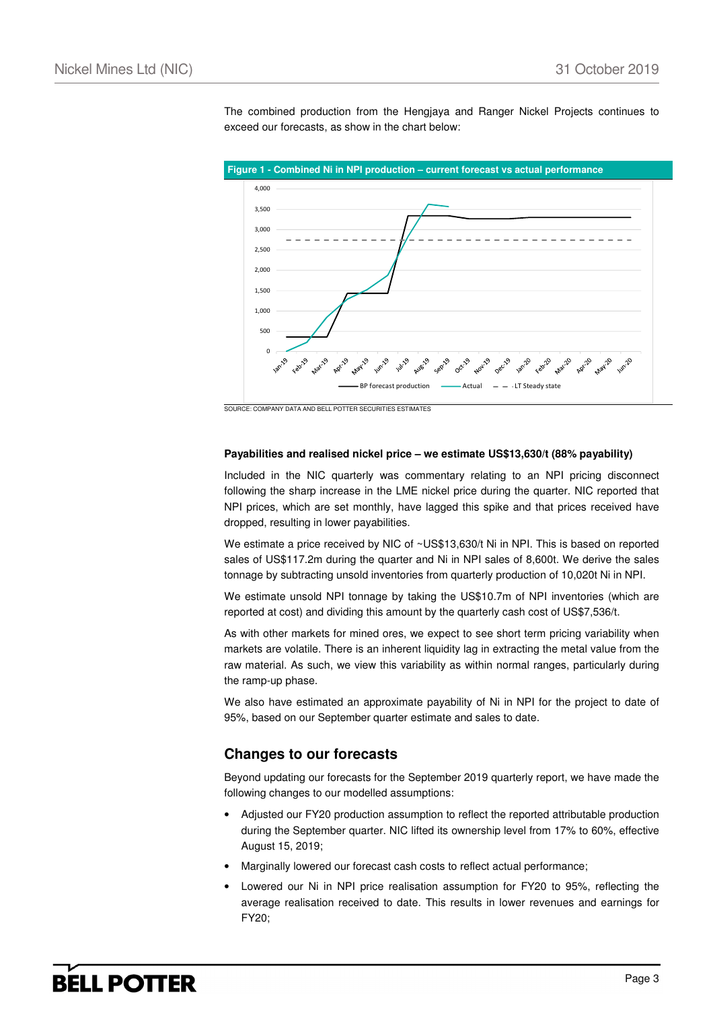The combined production from the Hengjaya and Ranger Nickel Projects continues to exceed our forecasts, as show in the chart below:



SOURCE: COMPANY DATA AND BELL POTTER SECURITIES ESTIMATES

#### **Payabilities and realised nickel price – we estimate US\$13,630/t (88% payability)**

Included in the NIC quarterly was commentary relating to an NPI pricing disconnect following the sharp increase in the LME nickel price during the quarter. NIC reported that NPI prices, which are set monthly, have lagged this spike and that prices received have dropped, resulting in lower payabilities.

We estimate a price received by NIC of ~US\$13,630/t Ni in NPI. This is based on reported sales of US\$117.2m during the quarter and Ni in NPI sales of 8,600t. We derive the sales tonnage by subtracting unsold inventories from quarterly production of 10,020t Ni in NPI.

We estimate unsold NPI tonnage by taking the US\$10.7m of NPI inventories (which are reported at cost) and dividing this amount by the quarterly cash cost of US\$7,536/t.

As with other markets for mined ores, we expect to see short term pricing variability when markets are volatile. There is an inherent liquidity lag in extracting the metal value from the raw material. As such, we view this variability as within normal ranges, particularly during the ramp-up phase.

We also have estimated an approximate payability of Ni in NPI for the project to date of 95%, based on our September quarter estimate and sales to date.

#### **Changes to our forecasts**

Beyond updating our forecasts for the September 2019 quarterly report, we have made the following changes to our modelled assumptions:

- Adjusted our FY20 production assumption to reflect the reported attributable production during the September quarter. NIC lifted its ownership level from 17% to 60%, effective August 15, 2019;
- Marginally lowered our forecast cash costs to reflect actual performance;
- Lowered our Ni in NPI price realisation assumption for FY20 to 95%, reflecting the average realisation received to date. This results in lower revenues and earnings for FY20;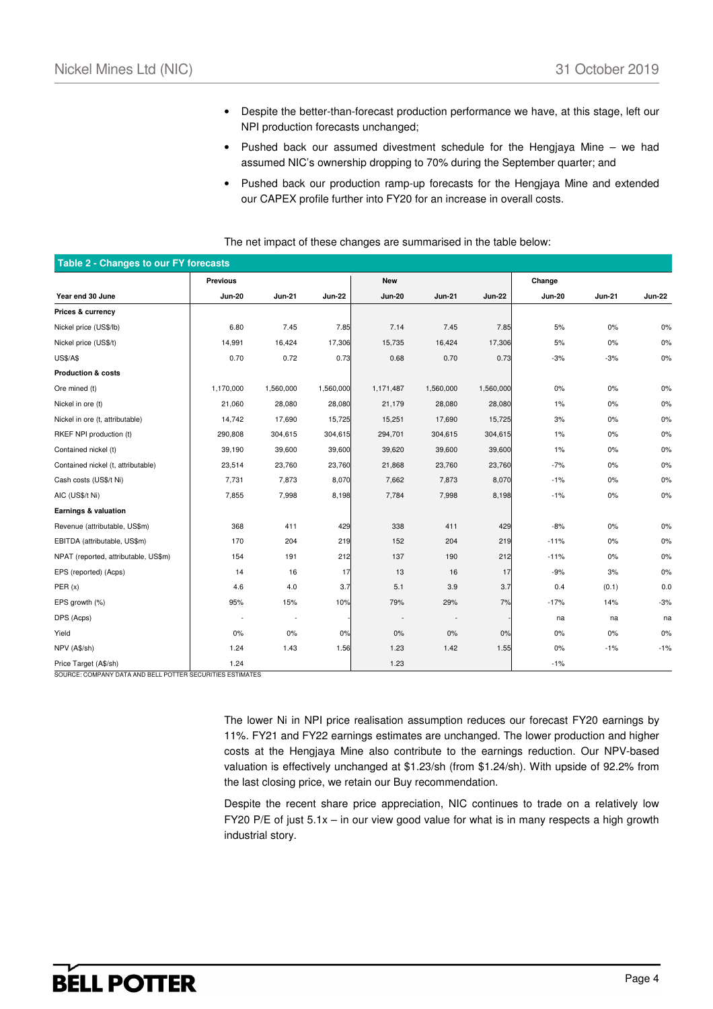- Despite the better-than-forecast production performance we have, at this stage, left our NPI production forecasts unchanged;
- Pushed back our assumed divestment schedule for the Hengjaya Mine we had assumed NIC's ownership dropping to 70% during the September quarter; and
- Pushed back our production ramp-up forecasts for the Hengjaya Mine and extended our CAPEX profile further into FY20 for an increase in overall costs.

| The net impact of these changes are summarised in the table below: |  |
|--------------------------------------------------------------------|--|
|--------------------------------------------------------------------|--|

| <b>Table 2 - Changes to our FY forecasts</b> |               |               |               |               |               |               |               |               |               |
|----------------------------------------------|---------------|---------------|---------------|---------------|---------------|---------------|---------------|---------------|---------------|
|                                              | Previous      |               |               | <b>New</b>    |               |               | Change        |               |               |
| Year end 30 June                             | <b>Jun-20</b> | <b>Jun-21</b> | <b>Jun-22</b> | <b>Jun-20</b> | <b>Jun-21</b> | <b>Jun-22</b> | <b>Jun-20</b> | <b>Jun-21</b> | <b>Jun-22</b> |
| Prices & currency                            |               |               |               |               |               |               |               |               |               |
| Nickel price (US\$/lb)                       | 6.80          | 7.45          | 7.85          | 7.14          | 7.45          | 7.85          | 5%            | $0\%$         | 0%            |
| Nickel price (US\$/t)                        | 14,991        | 16,424        | 17,306        | 15,735        | 16,424        | 17,306        | 5%            | 0%            | 0%            |
| <b>US\$/A\$</b>                              | 0.70          | 0.72          | 0.73          | 0.68          | 0.70          | 0.73          | $-3%$         | $-3%$         | 0%            |
| <b>Production &amp; costs</b>                |               |               |               |               |               |               |               |               |               |
| Ore mined (t)                                | 1,170,000     | 1,560,000     | 1,560,000     | 1,171,487     | 1,560,000     | 1,560,000     | 0%            | 0%            | 0%            |
| Nickel in ore (t)                            | 21,060        | 28,080        | 28,080        | 21,179        | 28,080        | 28,080        | 1%            | 0%            | 0%            |
| Nickel in ore (t, attributable)              | 14,742        | 17,690        | 15,725        | 15,251        | 17,690        | 15,725        | 3%            | 0%            | 0%            |
| RKEF NPI production (t)                      | 290,808       | 304,615       | 304,615       | 294,701       | 304,615       | 304,615       | 1%            | 0%            | 0%            |
| Contained nickel (t)                         | 39,190        | 39,600        | 39,600        | 39,620        | 39,600        | 39,600        | 1%            | 0%            | 0%            |
| Contained nickel (t, attributable)           | 23,514        | 23,760        | 23,760        | 21,868        | 23,760        | 23,760        | $-7%$         | $0\%$         | 0%            |
| Cash costs (US\$/t Ni)                       | 7,731         | 7,873         | 8,070         | 7,662         | 7,873         | 8,070         | $-1%$         | $0\%$         | 0%            |
| AIC (US\$/t Ni)                              | 7,855         | 7,998         | 8,198         | 7,784         | 7,998         | 8,198         | $-1%$         | 0%            | 0%            |
| Earnings & valuation                         |               |               |               |               |               |               |               |               |               |
| Revenue (attributable, US\$m)                | 368           | 411           | 429           | 338           | 411           | 429           | $-8%$         | 0%            | 0%            |
| EBITDA (attributable, US\$m)                 | 170           | 204           | 219           | 152           | 204           | 219           | $-11%$        | $0\%$         | 0%            |
| NPAT (reported, attributable, US\$m)         | 154           | 191           | 212           | 137           | 190           | 212           | $-11%$        | $0\%$         | 0%            |
| EPS (reported) (Acps)                        | 14            | 16            | 17            | 13            | 16            | 17            | $-9%$         | 3%            | 0%            |
| PER(x)                                       | 4.6           | 4.0           | 3.7           | 5.1           | 3.9           | 3.7           | 0.4           | (0.1)         | 0.0           |
| EPS growth (%)                               | 95%           | 15%           | 10%           | 79%           | 29%           | 7%            | $-17%$        | 14%           | $-3%$         |
| DPS (Acps)                                   |               | $\sim$        |               |               | ٠.            |               | na            | na            | na            |
| Yield                                        | 0%            | 0%            | 0%            | 0%            | 0%            | 0%            | 0%            | 0%            | 0%            |
| NPV (A\$/sh)                                 | 1.24          | 1.43          | 1.56          | 1.23          | 1.42          | 1.55          | 0%            | $-1%$         | $-1%$         |
| Price Target (A\$/sh)                        | 1.24          |               |               | 1.23          |               |               | $-1%$         |               |               |

SOURCE: COMPANY DATA AND BELL POTTER SECURITIES ESTIMATES

The lower Ni in NPI price realisation assumption reduces our forecast FY20 earnings by 11%. FY21 and FY22 earnings estimates are unchanged. The lower production and higher costs at the Hengjaya Mine also contribute to the earnings reduction. Our NPV-based valuation is effectively unchanged at \$1.23/sh (from \$1.24/sh). With upside of 92.2% from the last closing price, we retain our Buy recommendation.

Despite the recent share price appreciation, NIC continues to trade on a relatively low FY20 P/E of just 5.1x – in our view good value for what is in many respects a high growth industrial story.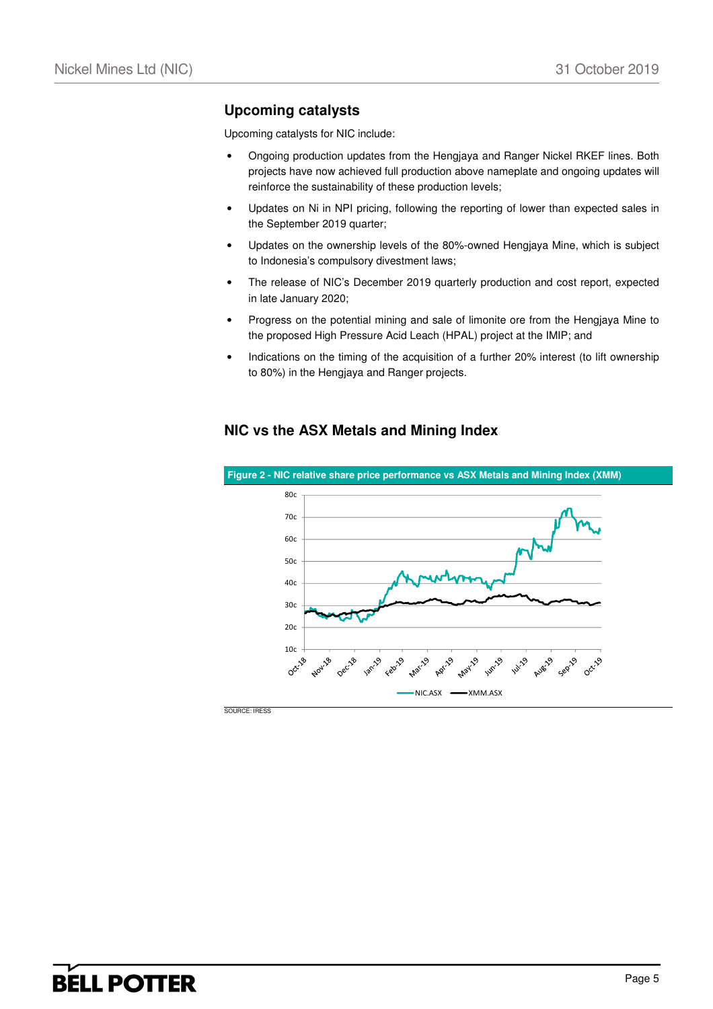## **Upcoming catalysts**

Upcoming catalysts for NIC include:

- Ongoing production updates from the Hengjaya and Ranger Nickel RKEF lines. Both projects have now achieved full production above nameplate and ongoing updates will reinforce the sustainability of these production levels;
- Updates on Ni in NPI pricing, following the reporting of lower than expected sales in the September 2019 quarter;
- Updates on the ownership levels of the 80%-owned Hengjaya Mine, which is subject to Indonesia's compulsory divestment laws;
- The release of NIC's December 2019 quarterly production and cost report, expected in late January 2020;
- Progress on the potential mining and sale of limonite ore from the Hengjaya Mine to the proposed High Pressure Acid Leach (HPAL) project at the IMIP; and
- Indications on the timing of the acquisition of a further 20% interest (to lift ownership to 80%) in the Hengjaya and Ranger projects.

### **NIC vs the ASX Metals and Mining Index**

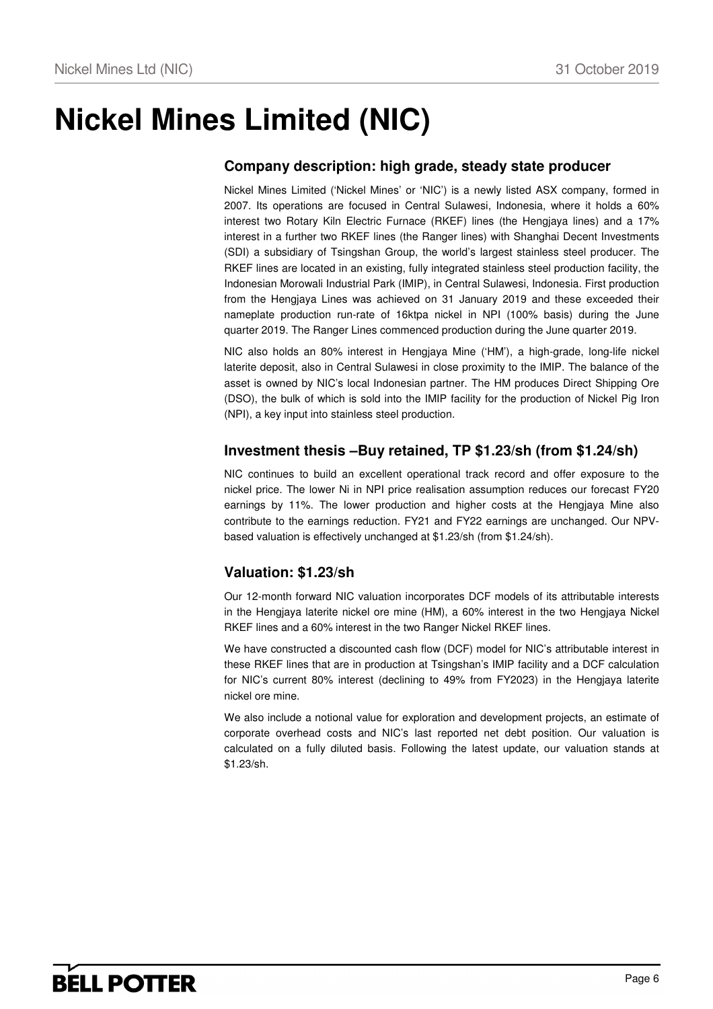# **Nickel Mines Limited (NIC)**

## **Company description: high grade, steady state producer**

Nickel Mines Limited ('Nickel Mines' or 'NIC') is a newly listed ASX company, formed in 2007. Its operations are focused in Central Sulawesi, Indonesia, where it holds a 60% interest two Rotary Kiln Electric Furnace (RKEF) lines (the Hengjaya lines) and a 17% interest in a further two RKEF lines (the Ranger lines) with Shanghai Decent Investments (SDI) a subsidiary of Tsingshan Group, the world's largest stainless steel producer. The RKEF lines are located in an existing, fully integrated stainless steel production facility, the Indonesian Morowali Industrial Park (IMIP), in Central Sulawesi, Indonesia. First production from the Hengjaya Lines was achieved on 31 January 2019 and these exceeded their nameplate production run-rate of 16ktpa nickel in NPI (100% basis) during the June quarter 2019. The Ranger Lines commenced production during the June quarter 2019.

NIC also holds an 80% interest in Hengjaya Mine ('HM'), a high-grade, long-life nickel laterite deposit, also in Central Sulawesi in close proximity to the IMIP. The balance of the asset is owned by NIC's local Indonesian partner. The HM produces Direct Shipping Ore (DSO), the bulk of which is sold into the IMIP facility for the production of Nickel Pig Iron (NPI), a key input into stainless steel production.

### **Investment thesis –Buy retained, TP \$1.23/sh (from \$1.24/sh)**

NIC continues to build an excellent operational track record and offer exposure to the nickel price. The lower Ni in NPI price realisation assumption reduces our forecast FY20 earnings by 11%. The lower production and higher costs at the Hengjaya Mine also contribute to the earnings reduction. FY21 and FY22 earnings are unchanged. Our NPVbased valuation is effectively unchanged at \$1.23/sh (from \$1.24/sh).

## **Valuation: \$1.23/sh**

Our 12-month forward NIC valuation incorporates DCF models of its attributable interests in the Hengiaya laterite nickel ore mine (HM), a 60% interest in the two Hengiaya Nickel RKEF lines and a 60% interest in the two Ranger Nickel RKEF lines.

We have constructed a discounted cash flow (DCF) model for NIC's attributable interest in these RKEF lines that are in production at Tsingshan's IMIP facility and a DCF calculation for NIC's current 80% interest (declining to 49% from FY2023) in the Hengjaya laterite nickel ore mine.

We also include a notional value for exploration and development projects, an estimate of corporate overhead costs and NIC's last reported net debt position. Our valuation is calculated on a fully diluted basis. Following the latest update, our valuation stands at \$1.23/sh.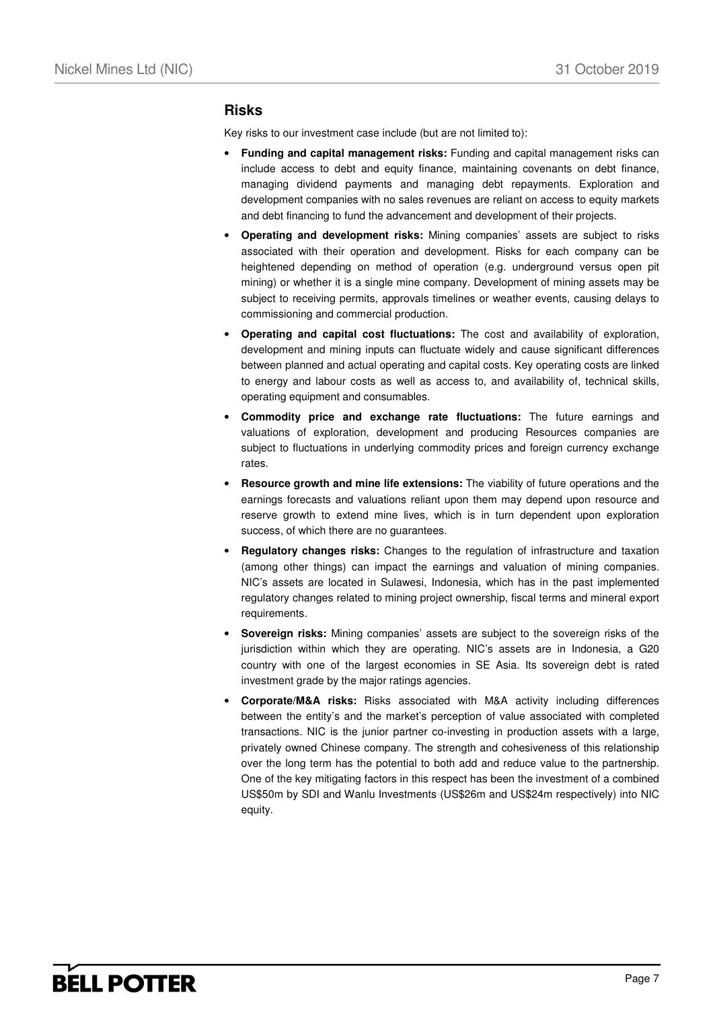#### **Risks**

Key risks to our investment case include (but are not limited to):

- **Funding and capital management risks:** Funding and capital management risks can include access to debt and equity finance, maintaining covenants on debt finance, managing dividend payments and managing debt repayments. Exploration and development companies with no sales revenues are reliant on access to equity markets and debt financing to fund the advancement and development of their projects.
- **Operating and development risks:** Mining companies' assets are subject to risks associated with their operation and development. Risks for each company can be heightened depending on method of operation (e.g. underground versus open pit mining) or whether it is a single mine company. Development of mining assets may be subject to receiving permits, approvals timelines or weather events, causing delays to commissioning and commercial production.
- **Operating and capital cost fluctuations:** The cost and availability of exploration, development and mining inputs can fluctuate widely and cause significant differences between planned and actual operating and capital costs. Key operating costs are linked to energy and labour costs as well as access to, and availability of, technical skills, operating equipment and consumables.
- **Commodity price and exchange rate fluctuations:** The future earnings and valuations of exploration, development and producing Resources companies are subject to fluctuations in underlying commodity prices and foreign currency exchange rates.
- **Resource growth and mine life extensions:** The viability of future operations and the earnings forecasts and valuations reliant upon them may depend upon resource and reserve growth to extend mine lives, which is in turn dependent upon exploration success, of which there are no guarantees.
- **Regulatory changes risks:** Changes to the regulation of infrastructure and taxation (among other things) can impact the earnings and valuation of mining companies. NIC's assets are located in Sulawesi, Indonesia, which has in the past implemented regulatory changes related to mining project ownership, fiscal terms and mineral export requirements.
- **Sovereign risks:** Mining companies' assets are subject to the sovereign risks of the jurisdiction within which they are operating. NIC's assets are in Indonesia, a G20 country with one of the largest economies in SE Asia. Its sovereign debt is rated investment grade by the major ratings agencies.
- **Corporate/M&A risks:** Risks associated with M&A activity including differences between the entity's and the market's perception of value associated with completed transactions. NIC is the junior partner co-investing in production assets with a large, privately owned Chinese company. The strength and cohesiveness of this relationship over the long term has the potential to both add and reduce value to the partnership. One of the key mitigating factors in this respect has been the investment of a combined US\$50m by SDI and Wanlu Investments (US\$26m and US\$24m respectively) into NIC equity.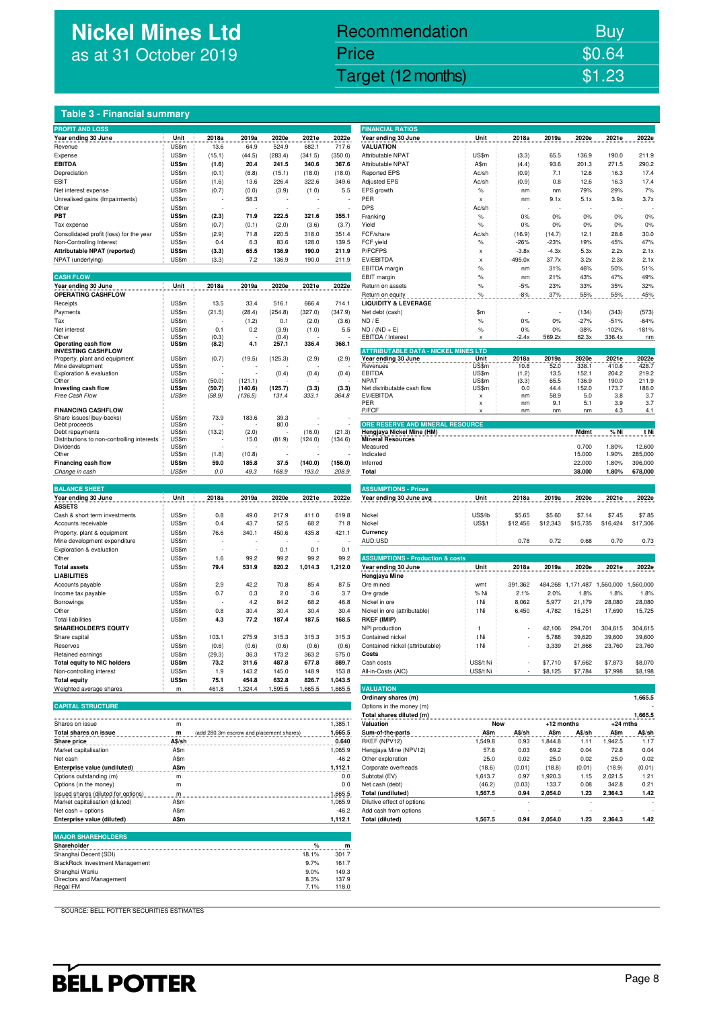## **Nickel Mines Ltd** as at 31 October 2019

## Nickel Mines Ltd (Nickel Mines Ltd (Nickel Mines Ltd (Nickel Mines Ltd (Nickel Mines Ltd Control) \$1.23 Recommendation Buy Price \$0.64

#### **Table 3 - Financial summary**

| <b>PROFIT AND LOSS</b>                                     |              |                          |         |                          |         |         | <b>FINANCIAL RATIOS</b>                                            |               |                          |           |           |            |            |
|------------------------------------------------------------|--------------|--------------------------|---------|--------------------------|---------|---------|--------------------------------------------------------------------|---------------|--------------------------|-----------|-----------|------------|------------|
| Year ending 30 June                                        | Unit         | 2018a                    | 2019a   | 2020e                    | 2021e   | 2022e   | Year ending 30 June                                                | Unit          | 2018a                    | 2019a     | 2020e     | 2021e      | 2022e      |
| Revenue                                                    | US\$m        | 13.6                     | 64.9    | 524.9                    | 682.1   | 717.6   | <b>VALUATION</b>                                                   |               |                          |           |           |            |            |
| Expense                                                    | US\$m        | (15.1)                   | (44.5)  | (283.4)                  | (341.5) | (350.0) | Attributable NPAT                                                  | US\$m         | (3.3)                    | 65.5      | 136.9     | 190.0      | 211.9      |
| <b>EBITDA</b>                                              | <b>US\$m</b> | (1.6)                    | 20.4    | 241.5                    | 340.6   | 367.6   | <b>Attributable NPAT</b>                                           | A\$m          | (4.4)                    | 93.6      | 201.3     | 271.5      | 290.2      |
| Depreciation                                               | US\$m        | (0.1)                    | (6.8)   | (15.1)                   | (18.0)  | (18.0)  | <b>Reported EPS</b>                                                | Ac/sh         | (0.9)                    | 7.1       | 12.6      | 16.3       | 17.4       |
| EBIT                                                       | US\$m        | (1.6)                    | 13.6    | 226.4                    | 322.6   | 349.6   | <b>Adjusted EPS</b>                                                | Ac/sh         | (0.9)                    | 0.8       | 12.6      | 16.3       | 17.4       |
| Net interest expense                                       | US\$m        | (0.7)                    | (0.0)   | (3.9)                    | (1.0)   | 5.5     | EPS growth                                                         | $\%$          | nm                       | nm        | 79%       | 29%        | 7%         |
| Unrealised gains (Impairments)                             | US\$m        | $\overline{\phantom{a}}$ | 58.3    | ÷                        |         |         | PER                                                                | x             | nm                       | 9.1x      | 5.1x      | 3.9x       | 3.7x       |
| Other                                                      | US\$m        | $\overline{\phantom{a}}$ | ٠.      | $\overline{\phantom{a}}$ |         |         | <b>DPS</b>                                                         | Ac/sh         | $\overline{\phantom{a}}$ |           | ٠         |            |            |
| PBT                                                        | <b>US\$m</b> | (2.3)                    | 71.9    | 222.5                    | 321.6   | 355.1   | Franking                                                           | $\%$          | 0%                       | 0%        | 0%        | 0%         | 0%         |
| Tax expense                                                | US\$m        | (0.7)                    | (0.1)   | (2.0)                    | (3.6)   | (3.7)   | Yield                                                              | $\frac{9}{6}$ | 0%                       | 0%        | 0%        | 0%         | 0%         |
| Consolidated profit (loss) for the year                    | US\$m        | (2.9)                    | 71.8    | 220.5                    | 318.0   | 351.4   | FCF/share                                                          | Ac/sh         | (16.9)                   | (14.7)    | 12.1      | 28.6       | 30.0       |
| Non-Controlling Interest                                   | US\$m        | 0.4                      | 6.3     | 83.6                     | 128.0   | 139.5   | FCF yield                                                          | $\%$          | $-26%$                   | $-23%$    | 19%       | 45%        | 47%        |
| Attributable NPAT (reported)                               | <b>US\$m</b> | (3.3)                    | 65.5    | 136.9                    | 190.0   | 211.9   | P/FCFPS                                                            | x             | $-3.8x$                  | $-4.3x$   | 5.3x      | 2.2x       | 2.1x       |
| NPAT (underlying)                                          | US\$m        | (3.3)                    | 7.2     | 136.9                    | 190.0   | 211.9   | EV/EBITDA                                                          | x             | $-495.0x$                | 37.7x     | 3.2x      | 2.3x       | 2.1x       |
|                                                            |              |                          |         |                          |         |         | EBITDA margin                                                      | $\%$          | nm                       | 31%       | 46%       | 50%        | 51%        |
| <b>CASH FLOW</b>                                           |              |                          |         |                          |         |         | EBIT margin                                                        | $\%$          | nm                       | 21%       | 43%       | 47%        | 49%        |
| Year ending 30 June                                        | Unit         | 2018a                    | 2019a   | 2020e                    | 2021e   | 2022e   | Return on assets                                                   | $\%$          | $-5%$                    | 23%       | 33%       | 35%        | 32%        |
| <b>OPERATING CASHFLOW</b>                                  |              |                          |         |                          |         |         | Return on equity                                                   | $\%$          | $-8%$                    | 37%       | 55%       | 55%        | 45%        |
| Receipts                                                   | US\$m        | 13.5                     | 33.4    | 516.1                    | 666.4   | 714.1   | <b>LIQUIDITY &amp; LEVERAGE</b>                                    |               |                          |           |           |            |            |
| Payments                                                   | US\$m        | (21.5)                   | (28.4)  | (254.8)                  | (327.0) | (347.9) | Net debt (cash)                                                    | \$m           |                          |           | (134)     | (343)      | (573)      |
| Tax                                                        | US\$m        |                          | (1.2)   | 0.1                      | (2.0)   | (3.6)   | ND / E                                                             | $\frac{9}{6}$ | 0%                       | 0%        | $-27%$    | $-51%$     | $-64%$     |
| Net interest                                               | US\$m        | 0.1                      | 0.2     | (3.9)                    | (1.0)   | 5.5     | $ND / (ND + E)$                                                    | $\frac{9}{6}$ | 0%                       | 0%        | $-38%$    | $-102%$    | $-181%$    |
| Other                                                      | US\$m        | (0.3)                    | ÷,      | (0.4)                    |         |         | EBITDA / Interest                                                  | x             | $-2.4x$                  | 569.2x    | 62.3x     | 336.4x     | nm         |
| Operating cash flow                                        | US\$m        | (8.2)                    | 4.1     | 257.1                    | 336.4   | 368.1   |                                                                    |               |                          |           |           |            |            |
| <b>INVESTING CASHFLOW</b><br>Property, plant and equipment | US\$m        | (0.7)                    | (19.5)  | (125.3)                  | (2.9)   | (2.9)   | <b>ATTRIBUTABLE DATA - NICKEL MINES LTD</b><br>Year ending 30 June | Unit          | 2018a                    | 2019a     | 2020e     | 2021e      | 2022e      |
| Mine development                                           | US\$m        |                          |         |                          |         |         | Revenues                                                           | US\$m         | 10.8                     | 52.0      | 338.1     | 410.6      | 428.7      |
| Exploration & evaluation                                   | US\$m        |                          |         | (0.4)                    | (0.4)   | (0.4)   | EBITDA                                                             | US\$m         | (1.2)                    | 13.5      | 152.1     | 204.2      | 219.2      |
| Other                                                      | US\$m        | (50.0)                   | (121.1) |                          |         |         | <b>NPAT</b>                                                        | US\$m         | (3.3)                    | 65.5      | 136.9     | 190.0      | 211.9      |
| Investing cash flow                                        | US\$m        | (50.7)                   | (140.6) | (125.7)                  | (3.3)   | (3.3)   | Net distributable cash flow                                        | US\$m         | 0.0                      | 44.4      | 152.0     | 173.7      | 188.0      |
| Free Cash Flow                                             | US\$m        | (58.9)                   | (136.5) | 131.4                    | 333.1   | 364.8   | EV/EBITDA                                                          | x             | nm                       | 58.9      | 5.0       | 3.8        | 3.7        |
| <b>FINANCING CASHFLOW</b>                                  |              |                          |         |                          |         |         | PER<br>P/FCF                                                       | x<br>x        | nm<br>nm                 | 9.1<br>nm | 5.1<br>nm | 3.9<br>4.3 | 3.7<br>4.1 |
| Share issues/(buy-backs)                                   | US\$m        | 73.9                     | 183.6   | 39.3                     |         |         |                                                                    |               |                          |           |           |            |            |
| Debt proceeds                                              | US\$m        |                          | ÷       | 80.0                     |         |         | ORE RESERVE AND MINERAL RESOURCE                                   |               |                          |           |           |            |            |
| Debt repayments                                            | US\$m        | (13.2)                   | (2.0)   |                          | (16.0)  | (21.3)  | Hengjaya Nickel Mine (HM)                                          |               |                          |           | Mdmt      | % Ni       | t Ni       |
| Distributions to non-controlling interests                 | US\$m        |                          | 15.0    | (81.9)                   | (124.0) | (134.6) | <b>Mineral Resources</b>                                           |               |                          |           |           |            |            |
| Dividends                                                  | US\$m        |                          |         |                          |         |         | Measured                                                           |               |                          |           | 0.700     | 1.80%      | 12,600     |
| Other                                                      | US\$m        | (1.8)                    | (10.8)  |                          |         |         | Indicated                                                          |               |                          |           | 15.000    | 1.90%      | 285,000    |
| <b>Financing cash flow</b>                                 | <b>US\$m</b> | 59.0                     | 185.8   | 37.5                     | (140.0) | (156.0) | Inferred                                                           |               |                          |           | 22.000    | 1.80%      | 396,000    |
| Change in cash                                             | <b>US\$m</b> | 0.0                      | 49.3    | 168.9                    | 193.0   | 208.9   | Total                                                              |               |                          |           | 38.000    | 1.80%      | 678,000    |
|                                                            |              |                          |         |                          |         |         |                                                                    |               |                          |           |           |            |            |

| <b>BALANCE SHEET</b>               |              |        |        |        |         |         | <b>ASSUMPTIONS - Prices</b>                 |           |                          |          |           |           |          |
|------------------------------------|--------------|--------|--------|--------|---------|---------|---------------------------------------------|-----------|--------------------------|----------|-----------|-----------|----------|
| Year ending 30 June                | Unit         | 2018a  | 2019a  | 2020e  | 2021e   | 2022e   | Year ending 30 June avg                     | Unit      | 2018a                    | 2019a    | 2020e     | 2021e     | 2022e    |
| <b>ASSETS</b>                      |              |        |        |        |         |         |                                             |           |                          |          |           |           |          |
| Cash & short term investments      | US\$m        | 0.8    | 49.0   | 217.9  | 411.0   | 619.8   | Nickel                                      | US\$/lb   | \$5.65                   | \$5.60   | \$7.14    | \$7.45    | \$7.85   |
| Accounts receivable                | US\$m        | 0.4    | 43.7   | 52.5   | 68.2    | 71.8    | Nickel                                      | US\$/t    | \$12,456                 | \$12,343 | \$15,735  | \$16,424  | \$17,306 |
| Property, plant & equipment        | US\$m        | 76.6   | 340.1  | 450.6  | 435.8   | 421.1   | Currency                                    |           |                          |          |           |           |          |
| Mine development expenditure       | US\$m        |        |        |        |         |         | AUD:USD                                     |           | 0.78                     | 0.72     | 0.68      | 0.70      | 0.73     |
| Exploration & evaluation           | US\$m        |        |        | 0.1    | 0.1     | 0.1     |                                             |           |                          |          |           |           |          |
| Other                              | US\$m        | 1.6    | 99.2   | 99.2   | 99.2    | 99.2    | <b>ASSUMPTIONS - Production &amp; costs</b> |           |                          |          |           |           |          |
| <b>Total assets</b>                | US\$m        | 79.4   | 531.9  | 820.2  | 1,014.3 | 1,212.0 | Year ending 30 June                         | Unit      | 2018a                    | 2019a    | 2020e     | 2021e     | 2022e    |
| <b>LIABILITIES</b>                 |              |        |        |        |         |         | Hengjaya Mine                               |           |                          |          |           |           |          |
| Accounts payable                   | US\$m        | 2.9    | 42.2   | 70.8   | 85.4    | 87.5    | Ore mined                                   | wmt       | 391,362                  | 484.268  | 1.171.487 | 1.560.000 | .560,000 |
| Income tax payable                 | US\$m        | 0.7    | 0.3    | 2.0    | 3.6     | 3.7     | Ore grade                                   | % Ni      | 2.1%                     | 2.0%     | 1.8%      | 1.8%      | 1.8%     |
| Borrowings                         | US\$m        |        | 4.2    | 84.2   | 68.2    | 46.8    | Nickel in ore                               | t Ni      | 8,062                    | 5,977    | 21,179    | 28,080    | 28,080   |
| Other                              | US\$m        | 0.8    | 30.4   | 30.4   | 30.4    | 30.4    | Nickel in ore (attributable)                | t Ni      | 6,450                    | 4,782    | 15,251    | 17,690    | 15,725   |
| <b>Total liabilities</b>           | US\$m        | 4.3    | 77.2   | 187.4  | 187.5   | 168.5   | <b>RKEF (IMIP)</b>                          |           |                          |          |           |           |          |
| <b>SHAREHOLDER'S EQUITY</b>        |              |        |        |        |         |         | NPI production                              |           | ٠                        | 42,106   | 294.701   | 304,615   | 304,615  |
| Share capital                      | US\$m        | 103.1  | 275.9  | 315.3  | 315.3   | 315.3   | Contained nickel                            | t Ni      | $\overline{\phantom{a}}$ | 5,788    | 39,620    | 39,600    | 39,600   |
| Reserves                           | US\$m        | (0.6)  | (0.6)  | (0.6)  | (0.6)   | (0.6)   | Contained nickel (attributable)             | t Ni      | $\overline{\phantom{0}}$ | 3,339    | 21,868    | 23,760    | 23,760   |
| Retained earnings                  | US\$m        | (29.3) | 36.3   | 173.2  | 363.2   | 575.0   | Costs                                       |           |                          |          |           |           |          |
| <b>Total equity to NIC holders</b> | <b>US\$m</b> | 73.2   | 311.6  | 487.8  | 677.8   | 889.7   | Cash costs                                  | US\$/t Ni | $\overline{\phantom{a}}$ | \$7,710  | \$7,662   | \$7,873   | \$8,070  |
| Non-controlling interest           | US\$m        | 1.9    | 143.2  | 145.0  | 148.9   | 153.8   | All-in-Costs (AIC)                          | US\$/t Ni | $\overline{\phantom{a}}$ | \$8,125  | \$7,784   | \$7,998   | \$8,198  |
| <b>Total equity</b>                | US\$m        | 75.1   | 454.8  | 632.8  | 826.7   | 1,043.5 |                                             |           |                          |          |           |           |          |
| Weighted average shares            | m            | 461.8  | .324.4 | .595.5 | 1,665.5 | .665.5  | <b>VALUATION</b>                            |           |                          |          |           |           |          |

| --------------------- |
|-----------------------|
|                       |
|                       |
|                       |
|                       |
|                       |
|                       |

|                                     |        |                                          |         | Total shares diluted (m)   |              |        |              |        |            | 1,665.5 |
|-------------------------------------|--------|------------------------------------------|---------|----------------------------|--------------|--------|--------------|--------|------------|---------|
| Shares on issue                     |        | 1,385.1<br>Valuation                     |         |                            | Now          |        | $+12$ months |        | $+24$ mths |         |
| Total shares on issue               | m      | (add 280.3m escrow and placement shares) | 1.665.5 | Sum-of-the-parts           | <b>A</b> \$m | A\$/sh | A\$m         | A\$/sh | A\$m       | A\$/sh  |
| Share price                         | A\$/sh |                                          | 0.640   | RKEF (NPV12)               | 1.549.8      | 0.93   | .844.8       | 1.11   | .942.5     | 1.17    |
| Market capitalisation               | A\$m   |                                          | 1,065.9 | Hengjaya Mine (NPV12)      | 57.6         | 0.03   | 69.2         | 0.04   | 72.8       | 0.04    |
| Net cash                            | A\$m   |                                          | $-46.2$ | Other exploration          | 25.0         | 0.02   | 25.0         | 0.02   | 25.0       | 0.02    |
| Enterprise value (undiluted)        | A\$m   |                                          | 1,112.1 | Corporate overheads        | (18.6)       | (0.01) | (18.8)       | (0.01) | (18.9)     | (0.01)  |
| Options outstanding (m)             | m      |                                          | 0.0     | Subtotal (EV)              | 1.613.7      | 0.97   | .920.3       | 1.15   | 2.021.5    | 1.21    |
| Options (in the money)              | m      |                                          | 0.0     | Net cash (debt)            | (46.2)       | (0.03) | 133.7        | 0.08   | 342.8      | 0.21    |
| Issued shares (diluted for options) | m      |                                          | 1.665.5 | <b>Total (undiluted)</b>   | 1.567.5      | 0.94   | 2.054.0      | 1.23   | 2,364.3    | 1.42    |
| Market capitalisation (diluted)     | A\$m   |                                          | 1.065.9 | Dilutive effect of options |              |        |              |        |            |         |
| Net cash + options                  | A\$m   |                                          | $-46.2$ | Add cash from options      |              |        |              |        |            |         |
| Enterprise value (diluted)          | A\$m   |                                          | 1,112.1 | <b>Total (diluted)</b>     | 1.567.5      | 0.94   | 2.054.0      | 1.23   | 2.364.3    | 1.42    |

#### **MAJOR SHAREHOLDER**

| %     | m     |
|-------|-------|
| 18.1% | 301.7 |
| 9.7%  | 161.7 |
| 9.0%  | 149.3 |
| 8.3%  | 137.9 |
| 7.1%  | 118.0 |
|       |       |

| <b>Adjusted EPS</b>                         | Ac/sh         | (0.9)     | 0.8     | 12.6   | 16.3    | 17.4    |
|---------------------------------------------|---------------|-----------|---------|--------|---------|---------|
| <b>EPS</b> arowth                           | $\frac{9}{6}$ | nm        | nm      | 79%    | 29%     | 7%      |
| PER                                         | X             | nm        | 9.1x    | 5.1x   | 3.9x    | 3.7x    |
| DPS                                         | Ac/sh         |           |         |        |         |         |
| Franking                                    | %             | 0%        | 0%      | 0%     | 0%      | 0%      |
| Yield                                       | %             | 0%        | 0%      | 0%     | 0%      | 0%      |
| FCF/share                                   | Ac/sh         | (16.9)    | (14.7)  | 12.1   | 28.6    | 30.0    |
| FCF yield                                   | %             | $-26%$    | $-23%$  | 19%    | 45%     | 47%     |
| P/FCFPS                                     | X             | $-3.8x$   | $-4.3x$ | 5.3x   | 2.2x    | 2.1x    |
| EV/EBITDA                                   | x             | $-495.0x$ | 37.7x   | 3.2x   | 2.3x    | 2.1x    |
| EBITDA margin                               | %             | nm        | 31%     | 46%    | 50%     | 51%     |
| <b>EBIT</b> margin                          | %             | nm        | 21%     | 43%    | 47%     | 49%     |
| Return on assets                            | %             | $-5%$     | 23%     | 33%    | 35%     | 32%     |
| Return on equity                            | %             | $-8%$     | 37%     | 55%    | 55%     | 45%     |
| <b>LIQUIDITY &amp; LEVERAGE</b>             |               |           |         |        |         |         |
| Net debt (cash)                             | \$m           |           |         | (134)  | (343)   | (573)   |
| ND / F                                      | %             | 0%        | 0%      | $-27%$ | $-51%$  | $-64%$  |
| $ND / (ND + E)$                             | %             | 0%        | 0%      | $-38%$ | $-102%$ | $-181%$ |
| EBITDA / Interest                           | x             | $-2.4x$   | 569.2x  | 62.3x  | 336.4x  | nm      |
| <b>ATTRIBUTABLE DATA - NICKEL MINES LTD</b> |               |           |         |        |         |         |
| Year ending 30 June                         | Unit          | 2018a     | 2019a   | 2020e  | 2021e   | 2022e   |
| Revenues                                    | US\$m         | 10.8      | 52.0    | 338.1  | 410.6   | 428.7   |
| EBITDA                                      | US\$m         | (1.2)     | 13.5    | 152.1  | 204.2   | 219.2   |
| <b>NPAT</b>                                 | US\$m         | (3.3)     | 65.5    | 136.9  | 190.0   | 211.9   |
| Net distributable cash flow                 | US\$m         | 0.0       | 44.4    | 152.0  | 173.7   | 188.0   |
| EV/EBITDA                                   | x             | nm        | 58.9    | 5.0    | 3.8     | 3.7     |
| PFR                                         | X             | nm        | 9.1     | 5.1    | 3.9     | 3.7     |
| P/FCF                                       | X             | nm        | nm      | nm     | 4.3     | 4.1     |
| ORE RESERVE AND MINERAL RESOURCE            |               |           |         |        |         |         |
| Hengjaya Nickel Mine (HM)                   |               |           |         | Mdmt   | % Ni    | t Ni    |
| <b>Mineral Resources</b><br><b>Massimus</b> |               |           |         | 0.700  | 1.0001  | 10.000  |
|                                             |               |           |         |        |         |         |

| <b>Hengjaya Nickel Mine (HM)</b> | Mdmt   | % Ni  | t N     |
|----------------------------------|--------|-------|---------|
| Mineral Resources                |        |       |         |
| Aeasured                         | 0.700  | 1.80% | 12,600  |
| ndicated                         | 15,000 | 1.90% | 285,000 |
| nferred                          | 22,000 | 1.80% | 396,000 |
| Total                            | 38,000 | 1.80% | 678,000 |
|                                  |        |       |         |

| 100UMF I IUNO - FIICES  |         |          |          |          |          |          |
|-------------------------|---------|----------|----------|----------|----------|----------|
| fear ending 30 June avg | Unit    | 2018a    | 2019a    | 2020e    | 2021e    | 2022e    |
|                         |         |          |          |          |          |          |
| <b>Nickel</b>           | US\$/lb | \$5.65   | \$5.60   | \$7.14   | \$7.45   | \$7.85   |
| <b>Nickel</b>           | US\$/t  | \$12,456 | \$12,343 | \$15,735 | \$16,424 | \$17,306 |
| Currency                |         |          |          |          |          |          |
| NUD:USD                 |         | 0.78     | 0.72     | 0.68     | 0.70     | 0.73     |
|                         |         |          |          |          |          |          |

| <b>ASSUMPTIONS - Production &amp; costs</b> |            |         |         |           |           |           |  |  |
|---------------------------------------------|------------|---------|---------|-----------|-----------|-----------|--|--|
| Year ending 30 June                         | Unit       | 2018a   | 2019a   | 2020e     | 2021e     | 2022e     |  |  |
| Hengjaya Mine                               |            |         |         |           |           |           |  |  |
| Ore mined                                   | wmt        | 391.362 | 484.268 | 1.171.487 | 1.560.000 | 1.560.000 |  |  |
| Ore grade                                   | % Ni       | 2.1%    | 2.0%    | 1.8%      | 1.8%      | 1.8%      |  |  |
| Nickel in ore                               | t Ni       | 8.062   | 5.977   | 21.179    | 28,080    | 28,080    |  |  |
| Nickel in ore (attributable)                | t Ni       | 6.450   | 4.782   | 15.251    | 17.690    | 15.725    |  |  |
| RKEF (IMIP)                                 |            |         |         |           |           |           |  |  |
| NPI production                              |            | ٠       | 42.106  | 294.701   | 304.615   | 304.615   |  |  |
| Contained nickel                            | t Ni       | ٠       | 5.788   | 39.620    | 39,600    | 39,600    |  |  |
| Contained nickel (attributable)             | t Ni       | ۰       | 3.339   | 21.868    | 23,760    | 23,760    |  |  |
| Costs                                       |            |         |         |           |           |           |  |  |
| Cash costs                                  | US\$/t Ni  | ۰       | \$7,710 | \$7,662   | \$7,873   | \$8,070   |  |  |
| All in CantA (AIO)                          | $11004$ MI |         | 0.105   | 0770A     | 0700      | 00100     |  |  |

| Weighted average shares             | m      | 461.8 | 1.324.4                                  | 1.595.5 | .665.5 | 1.665.5 | <b>VALUATION</b>           |         |        |            |        |             |         |
|-------------------------------------|--------|-------|------------------------------------------|---------|--------|---------|----------------------------|---------|--------|------------|--------|-------------|---------|
|                                     |        |       |                                          |         |        |         | Ordinary shares (m)        |         |        |            |        |             | 1,665.5 |
| <b>CAPITAL STRUCTURE</b>            |        |       |                                          |         |        |         | Options in the money (m)   |         |        |            |        |             |         |
|                                     |        |       |                                          |         |        |         | Total shares diluted (m)   |         |        |            |        |             | 1,665.5 |
| Shares on issue                     | m      |       |                                          |         |        | 1,385.1 | Valuation                  | Now     |        | +12 months |        | $+24$ mths  |         |
| Total shares on issue               | m      |       | (add 280.3m escrow and placement shares) |         |        | 1.665.5 | Sum-of-the-parts           | A\$m    | A\$/sh | A\$m       | A\$/sh | <b>A\$m</b> | A\$/sh  |
| Share price                         | A\$/sh |       |                                          |         |        | 0.640   | RKEF (NPV12)               | 1.549.8 | 0.93   | 844.8      | 1.11   | .942.5      | 1.17    |
| Market capitalisation               | A\$m   |       |                                          |         |        | 1,065.9 | Hengiaya Mine (NPV12)      | 57.6    | 0.03   | 69.2       | 0.04   | 72.8        | 0.04    |
| Net cash                            | A\$m   |       |                                          |         |        | $-46.2$ | Other exploration          | 25.0    | 0.02   | 25.0       | 0.02   | 25.0        | 0.02    |
| Enterprise value (undiluted)        | A\$m   |       |                                          |         |        | 1,112.1 | Corporate overheads        | (18.6)  | (0.01) | (18.8)     | (0.01) | (18.9)      | (0.01)  |
| Options outstanding (m)             | m      |       |                                          |         |        | 0.0     | Subtotal (EV)              | 1,613.7 | 0.97   | 1,920.3    | 1.15   | 2,021.5     | 1.21    |
| Options (in the money)              | m      |       |                                          |         |        | 0.0     | Net cash (debt)            | (46.2)  | (0.03) | 133.7      | 0.08   | 342.8       | 0.21    |
| Issued shares (diluted for options) | m      |       |                                          |         |        | .665.5  | <b>Total (undiluted)</b>   | 1.567.5 | 0.94   | 2.054.0    | 1.23   | 2.364.3     | 1.42    |
| Market capitalisation (diluted)     | A\$m   |       |                                          |         |        | 1,065.9 | Dilutive effect of options |         |        |            |        |             |         |
| Net cash + options                  | A\$m   |       |                                          |         |        | $-46.2$ | Add cash from options      |         |        |            |        |             |         |
| Enterprise value (diluted)          | A\$m   |       |                                          |         |        | 1,112.1 | Total (diluted)            | 1.567.5 | 0.94   | 2.054.0    | 1.23   | 2.364.3     | 1.42    |
|                                     |        |       |                                          |         |        |         |                            |         |        |            |        |             |         |

SOURCE: BELL POTTER SECURITIES ESTIMATES